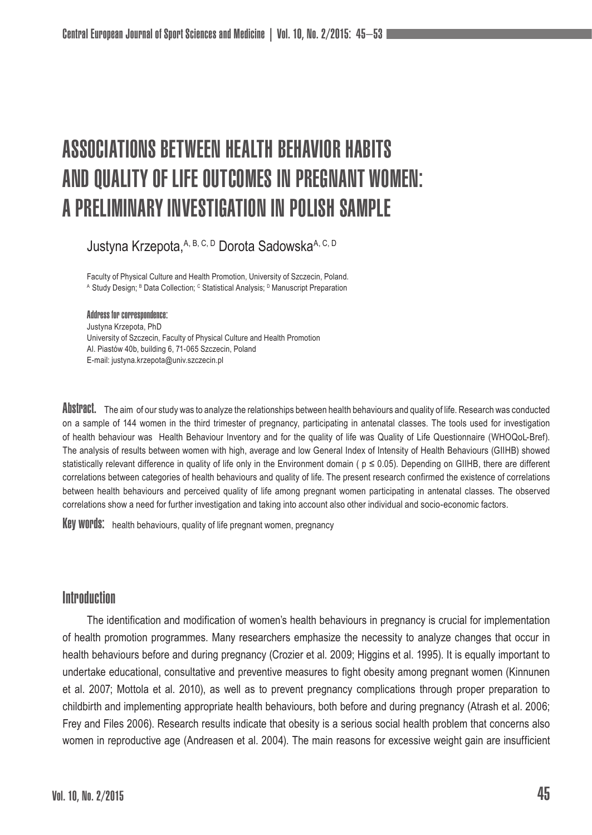# ASSOCIATIONS BETWEEN HEALTH BEHAVIOR HABITS AND QUALITY OF LIFE OUTCOMES IN PREGNANT WOMEN: A PRELIMINARY INVESTIGATION IN POLISH SAMPLE

Justyna Krzepota,A, B, C, D Dorota SadowskaA, C, D

Faculty of Physical Culture and Health Promotion, University of Szczecin, Poland. ^ Study Design; <sup>в</sup> Data Collection; <sup>с</sup> Statistical Analysis; <sup>в</sup> Manuscript Preparation

Address for correspondence: Justyna Krzepota, PhD University of Szczecin, Faculty of Physical Culture and Health Promotion Al. Piastów 40b, building 6, 71-065 Szczecin, Poland E-mail: justyna.krzepota@univ.szczecin.pl

ADSIMBCI. The aim of our study was to analyze the relationships between health behaviours and quality of life. Research was conducted on a sample of 144 women in the third trimester of pregnancy, participating in antenatal classes. The tools used for investigation of health behaviour was Health Behaviour Inventory and for the quality of life was Quality of Life Questionnaire (WHOQoL-Bref). The analysis of results between women with high, average and low General Index of Intensity of Health Behaviours (GIIHB) showed statistically relevant difference in quality of life only in the Environment domain ( $p \le 0.05$ ). Depending on GIIHB, there are different correlations between categories of health behaviours and quality of life. The present research confirmed the existence of correlations between health behaviours and perceived quality of life among pregnant women participating in antenatal classes. The observed correlations show a need for further investigation and taking into account also other individual and socio-economic factors.

Key words: health behaviours, quality of life pregnant women, pregnancy

# Introduction

The identification and modification of women's health behaviours in pregnancy is crucial for implementation of health promotion programmes. Many researchers emphasize the necessity to analyze changes that occur in health behaviours before and during pregnancy (Crozier et al. 2009; Higgins et al. 1995). It is equally important to undertake educational, consultative and preventive measures to fight obesity among pregnant women (Kinnunen et al. 2007; Mottola et al. 2010), as well as to prevent pregnancy complications through proper preparation to childbirth and implementing appropriate health behaviours, both before and during pregnancy (Atrash et al. 2006; Frey and Files 2006). Research results indicate that obesity is a serious social health problem that concerns also women in reproductive age (Andreasen et al. 2004). The main reasons for excessive weight gain are insufficient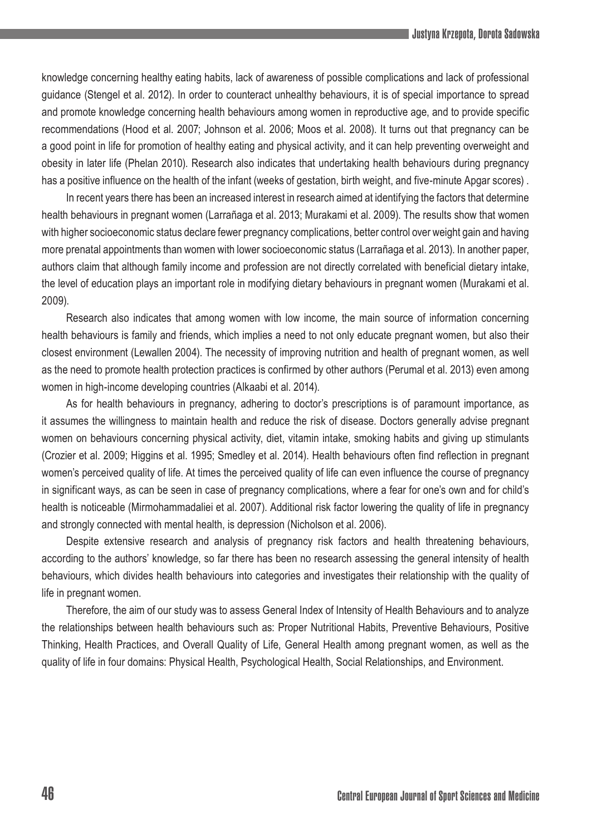knowledge concerning healthy eating habits, lack of awareness of possible complications and lack of professional guidance (Stengel et al. 2012). In order to counteract unhealthy behaviours, it is of special importance to spread and promote knowledge concerning health behaviours among women in reproductive age, and to provide specific recommendations (Hood et al. 2007; Johnson et al. 2006; Moos et al. 2008). It turns out that pregnancy can be a good point in life for promotion of healthy eating and physical activity, and it can help preventing overweight and obesity in later life (Phelan 2010). Research also indicates that undertaking health behaviours during pregnancy has a positive influence on the health of the infant (weeks of gestation, birth weight, and five-minute Apgar scores) .

In recent years there has been an increased interest in research aimed at identifying the factors that determine health behaviours in pregnant women (Larrañaga et al. 2013; Murakami et al. 2009). The results show that women with higher socioeconomic status declare fewer pregnancy complications, better control over weight gain and having more prenatal appointments than women with lower socioeconomic status (Larrañaga et al. 2013). In another paper, authors claim that although family income and profession are not directly correlated with beneficial dietary intake, the level of education plays an important role in modifying dietary behaviours in pregnant women (Murakami et al. 2009).

Research also indicates that among women with low income, the main source of information concerning health behaviours is family and friends, which implies a need to not only educate pregnant women, but also their closest environment (Lewallen 2004). The necessity of improving nutrition and health of pregnant women, as well as the need to promote health protection practices is confirmed by other authors (Perumal et al. 2013) even among women in high-income developing countries (Alkaabi et al. 2014).

As for health behaviours in pregnancy, adhering to doctor's prescriptions is of paramount importance, as it assumes the willingness to maintain health and reduce the risk of disease. Doctors generally advise pregnant women on behaviours concerning physical activity, diet, vitamin intake, smoking habits and giving up stimulants (Crozier et al. 2009; Higgins et al. 1995; Smedley et al. 2014). Health behaviours often find reflection in pregnant women's perceived quality of life. At times the perceived quality of life can even influence the course of pregnancy in significant ways, as can be seen in case of pregnancy complications, where a fear for one's own and for child's health is noticeable (Mirmohammadaliei et al. 2007). Additional risk factor lowering the quality of life in pregnancy and strongly connected with mental health, is depression (Nicholson et al. 2006).

Despite extensive research and analysis of pregnancy risk factors and health threatening behaviours, according to the authors' knowledge, so far there has been no research assessing the general intensity of health behaviours, which divides health behaviours into categories and investigates their relationship with the quality of life in pregnant women.

Therefore, the aim of our study was to assess General Index of Intensity of Health Behaviours and to analyze the relationships between health behaviours such as: Proper Nutritional Habits, Preventive Behaviours, Positive Thinking, Health Practices, and Overall Quality of Life, General Health among pregnant women, as well as the quality of life in four domains: Physical Health, Psychological Health, Social Relationships, and Environment.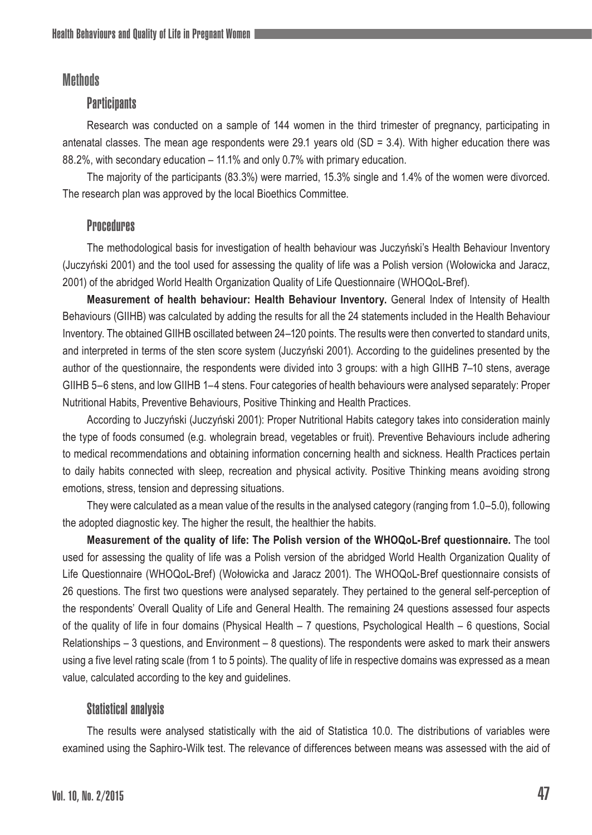# **Methods**

## **Participants**

Research was conducted on a sample of 144 women in the third trimester of pregnancy, participating in antenatal classes. The mean age respondents were 29.1 years old  $(SD = 3.4)$ . With higher education there was 88.2%, with secondary education – 11.1% and only 0.7% with primary education.

The majority of the participants (83.3%) were married, 15.3% single and 1.4% of the women were divorced. The research plan was approved by the local Bioethics Committee.

### **Procedures**

The methodological basis for investigation of health behaviour was Juczyński's Health Behaviour Inventory (Juczyński 2001) and the tool used for assessing the quality of life was a Polish version (Wołowicka and Jaracz, 2001) of the abridged World Health Organization Quality of Life Questionnaire (WHOQoL-Bref).

**Measurement of health behaviour: Health Behaviour Inventory.** General Index of Intensity of Health Behaviours (GIIHB) was calculated by adding the results for all the 24 statements included in the Health Behaviour Inventory. The obtained GIIHB oscillated between 24–120 points. The results were then converted to standard units, and interpreted in terms of the sten score system (Juczyński 2001). According to the guidelines presented by the author of the questionnaire, the respondents were divided into 3 groups: with a high GIIHB 7–10 stens, average GIIHB 5–6 stens, and low GIIHB 1–4 stens. Four categories of health behaviours were analysed separately: Proper Nutritional Habits, Preventive Behaviours, Positive Thinking and Health Practices.

According to Juczyński (Juczyński 2001): Proper Nutritional Habits category takes into consideration mainly the type of foods consumed (e.g. wholegrain bread, vegetables or fruit). Preventive Behaviours include adhering to medical recommendations and obtaining information concerning health and sickness. Health Practices pertain to daily habits connected with sleep, recreation and physical activity. Positive Thinking means avoiding strong emotions, stress, tension and depressing situations.

They were calculated as a mean value of the results in the analysed category (ranging from 1.0–5.0), following the adopted diagnostic key. The higher the result, the healthier the habits.

**Measurement of the quality of life: The Polish version of the WHOQoL-Bref questionnaire.** The tool used for assessing the quality of life was a Polish version of the abridged World Health Organization Quality of Life Questionnaire (WHOQoL-Bref) (Wołowicka and Jaracz 2001). The WHOQoL-Bref questionnaire consists of 26 questions. The first two questions were analysed separately. They pertained to the general self-perception of the respondents' Overall Quality of Life and General Health. The remaining 24 questions assessed four aspects of the quality of life in four domains (Physical Health – 7 questions, Psychological Health – 6 questions, Social Relationships – 3 questions, and Environment – 8 questions). The respondents were asked to mark their answers using a five level rating scale (from 1 to 5 points). The quality of life in respective domains was expressed as a mean value, calculated according to the key and guidelines.

## Statistical analysis

The results were analysed statistically with the aid of Statistica 10.0. The distributions of variables were examined using the Saphiro-Wilk test. The relevance of differences between means was assessed with the aid of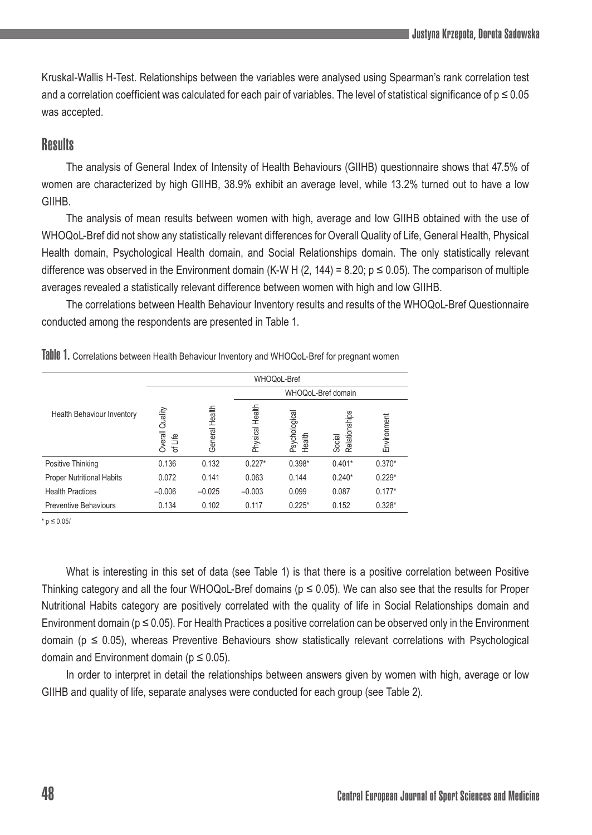Kruskal-Wallis H-Test. Relationships between the variables were analysed using Spearman's rank correlation test and a correlation coefficient was calculated for each pair of variables. The level of statistical significance of  $p \leq 0.05$ was accepted.

# **Results**

The analysis of General Index of Intensity of Health Behaviours (GIIHB) questionnaire shows that 47.5% of women are characterized by high GIIHB, 38.9% exhibit an average level, while 13.2% turned out to have a low **GIIHB.** 

The analysis of mean results between women with high, average and low GIIHB obtained with the use of WHOQoL-Bref did not show any statistically relevant differences for Overall Quality of Life, General Health, Physical Health domain, Psychological Health domain, and Social Relationships domain. The only statistically relevant difference was observed in the Environment domain (K-W H (2, 144) = 8.20;  $p \le 0.05$ ). The comparison of multiple averages revealed a statistically relevant difference between women with high and low GIIHB.

The correlations between Health Behaviour Inventory results and results of the WHOQoL-Bref Questionnaire conducted among the respondents are presented in Table 1.

|                                  | WHOQoL-Bref                |                   |                    |                        |                         |             |  |  |  |
|----------------------------------|----------------------------|-------------------|--------------------|------------------------|-------------------------|-------------|--|--|--|
|                                  |                            |                   | WHOQoL-Bref domain |                        |                         |             |  |  |  |
| Health Behaviour Inventory       | Overall Quality<br>of Life | Health<br>General | Physical Health    | Psychologica<br>Health | Relationships<br>Social | Environment |  |  |  |
| Positive Thinking                | 0.136                      | 0.132             | $0.227*$           | $0.398*$               | $0.401*$                | $0.370*$    |  |  |  |
| <b>Proper Nutritional Habits</b> | 0.072                      | 0.141             | 0.063              | 0.144                  | $0.240*$                | $0.229*$    |  |  |  |
| <b>Health Practices</b>          | $-0.006$                   | $-0.025$          | $-0.003$           | 0.099                  | 0.087                   | $0.177*$    |  |  |  |
| <b>Preventive Behaviours</b>     | 0.134                      | 0.102             | 0.117              | $0.225*$               | 0.152                   | $0.328*$    |  |  |  |

Table 1. Correlations between Health Behaviour Inventory and WHOQoL-Bref for pregnant women

 $* n ≤ 0.05$ 

What is interesting in this set of data (see Table 1) is that there is a positive correlation between Positive Thinking category and all the four WHOQoL-Bref domains ( $p \le 0.05$ ). We can also see that the results for Proper Nutritional Habits category are positively correlated with the quality of life in Social Relationships domain and Environment domain (p ≤ 0.05). For Health Practices a positive correlation can be observed only in the Environment domain ( $p \le 0.05$ ), whereas Preventive Behaviours show statistically relevant correlations with Psychological domain and Environment domain ( $p \le 0.05$ ).

In order to interpret in detail the relationships between answers given by women with high, average or low GIIHB and quality of life, separate analyses were conducted for each group (see Table 2).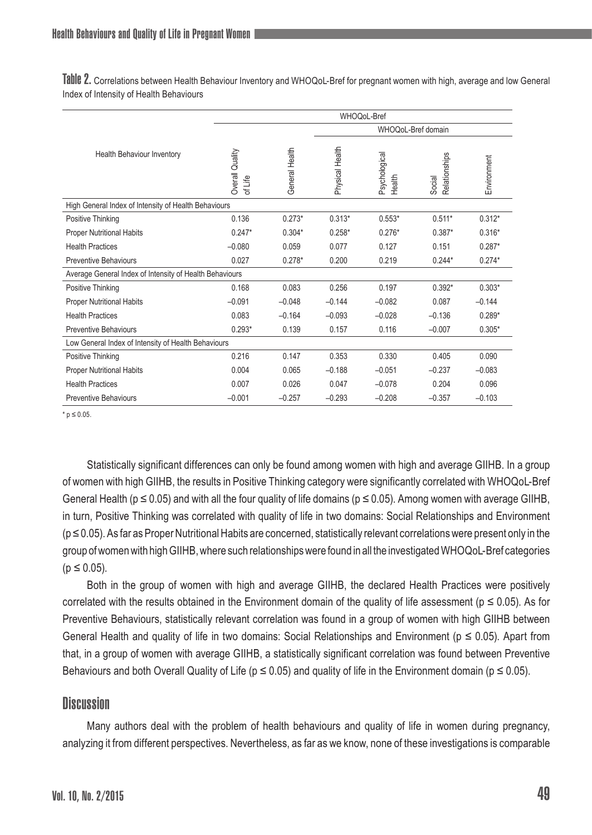Table 2. Correlations between Health Behaviour Inventory and WHOQoL-Bref for pregnant women with high, average and low General Index of Intensity of Health Behaviours

|                                                         | WHOQoL-Bref                |                |                 |                         |                         |             |  |  |
|---------------------------------------------------------|----------------------------|----------------|-----------------|-------------------------|-------------------------|-------------|--|--|
|                                                         |                            |                |                 |                         |                         |             |  |  |
| Health Behaviour Inventory                              | Overall Quality<br>of Life | General Health | Physical Health | Psychological<br>Health | Relationships<br>Social | Environment |  |  |
| High General Index of Intensity of Health Behaviours    |                            |                |                 |                         |                         |             |  |  |
| Positive Thinking                                       | 0.136                      | $0.273*$       | $0.313*$        | $0.553*$                | $0.511*$                | $0.312*$    |  |  |
| <b>Proper Nutritional Habits</b>                        | $0.247*$                   | $0.304*$       | $0.258*$        | $0.276*$                | $0.387*$                | $0.316*$    |  |  |
| <b>Health Practices</b>                                 | $-0.080$                   | 0.059          | 0.077           | 0.127                   | 0.151                   | $0.287*$    |  |  |
| <b>Preventive Behaviours</b>                            | 0.027                      | $0.278*$       | 0.200           | 0.219                   | $0.244*$                | $0.274*$    |  |  |
| Average General Index of Intensity of Health Behaviours |                            |                |                 |                         |                         |             |  |  |
| Positive Thinking                                       | 0.168                      | 0.083          | 0.256           | 0.197                   | $0.392*$                | $0.303*$    |  |  |
| <b>Proper Nutritional Habits</b>                        | $-0.091$                   | $-0.048$       | $-0.144$        | $-0.082$                | 0.087                   | $-0.144$    |  |  |
| <b>Health Practices</b>                                 | 0.083                      | $-0.164$       | $-0.093$        | $-0.028$                | $-0.136$                | $0.289*$    |  |  |
| <b>Preventive Behaviours</b>                            | $0.293*$                   | 0.139          | 0.157           | 0.116                   | $-0.007$                | $0.305*$    |  |  |
| Low General Index of Intensity of Health Behaviours     |                            |                |                 |                         |                         |             |  |  |
| Positive Thinking                                       | 0.216                      | 0.147          | 0.353           | 0.330                   | 0.405                   | 0.090       |  |  |
| <b>Proper Nutritional Habits</b>                        | 0.004                      | 0.065          | $-0.188$        | $-0.051$                | $-0.237$                | $-0.083$    |  |  |
| <b>Health Practices</b>                                 | 0.007                      | 0.026          | 0.047           | $-0.078$                | 0.204                   | 0.096       |  |  |
| <b>Preventive Behaviours</b>                            | $-0.001$                   | $-0.257$       | $-0.293$        | $-0.208$                | $-0.357$                | $-0.103$    |  |  |

\* p ≤ 0.05.

Statistically significant differences can only be found among women with high and average GIIHB. In a group of women with high GIIHB, the results in Positive Thinking category were significantly correlated with WHOQoL-Bref General Health ( $p \le 0.05$ ) and with all the four quality of life domains ( $p \le 0.05$ ). Among women with average GIIHB, in turn, Positive Thinking was correlated with quality of life in two domains: Social Relationships and Environment (p ≤ 0.05). As far as Proper Nutritional Habits are concerned, statistically relevant correlations were present only in the group of women with high GIIHB, where such relationships were found in all the investigated WHOQoL-Bref categories  $(p \le 0.05)$ .

Both in the group of women with high and average GIIHB, the declared Health Practices were positively correlated with the results obtained in the Environment domain of the quality of life assessment ( $p \le 0.05$ ). As for Preventive Behaviours, statistically relevant correlation was found in a group of women with high GIIHB between General Health and quality of life in two domains: Social Relationships and Environment ( $p \le 0.05$ ). Apart from that, in a group of women with average GIIHB, a statistically significant correlation was found between Preventive Behaviours and both Overall Quality of Life ( $p \le 0.05$ ) and quality of life in the Environment domain ( $p \le 0.05$ ).

## **Discussion**

Many authors deal with the problem of health behaviours and quality of life in women during pregnancy, analyzing it from different perspectives. Nevertheless, as far as we know, none of these investigations is comparable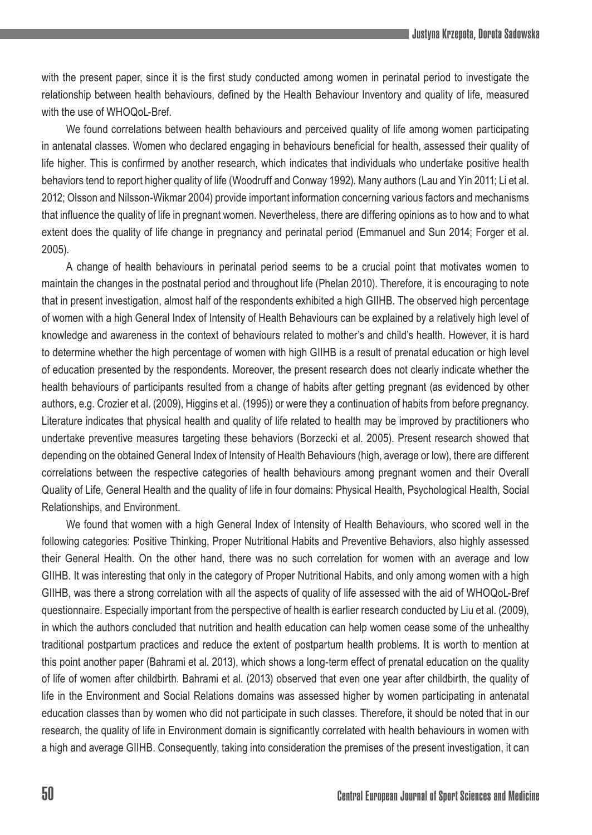with the present paper, since it is the first study conducted among women in perinatal period to investigate the relationship between health behaviours, defined by the Health Behaviour Inventory and quality of life, measured with the use of WHOQoL-Bref.

We found correlations between health behaviours and perceived quality of life among women participating in antenatal classes. Women who declared engaging in behaviours beneficial for health, assessed their quality of life higher. This is confirmed by another research, which indicates that individuals who undertake positive health behaviors tend to report higher quality of life (Woodruff and Conway 1992). Many authors (Lau and Yin 2011; Li et al. 2012; Olsson and Nilsson-Wikmar 2004) provide important information concerning various factors and mechanisms that influence the quality of life in pregnant women. Nevertheless, there are differing opinions as to how and to what extent does the quality of life change in pregnancy and perinatal period (Emmanuel and Sun 2014; Forger et al. 2005).

A change of health behaviours in perinatal period seems to be a crucial point that motivates women to maintain the changes in the postnatal period and throughout life (Phelan 2010). Therefore, it is encouraging to note that in present investigation, almost half of the respondents exhibited a high GIIHB. The observed high percentage of women with a high General Index of Intensity of Health Behaviours can be explained by a relatively high level of knowledge and awareness in the context of behaviours related to mother's and child's health. However, it is hard to determine whether the high percentage of women with high GIIHB is a result of prenatal education or high level of education presented by the respondents. Moreover, the present research does not clearly indicate whether the health behaviours of participants resulted from a change of habits after getting pregnant (as evidenced by other authors, e.g. Crozier et al. (2009), Higgins et al. (1995)) or were they a continuation of habits from before pregnancy. Literature indicates that physical health and quality of life related to health may be improved by practitioners who undertake preventive measures targeting these behaviors (Borzecki et al. 2005). Present research showed that depending on the obtained General Index of Intensity of Health Behaviours (high, average or low), there are different correlations between the respective categories of health behaviours among pregnant women and their Overall Quality of Life, General Health and the quality of life in four domains: Physical Health, Psychological Health, Social Relationships, and Environment.

We found that women with a high General Index of Intensity of Health Behaviours, who scored well in the following categories: Positive Thinking, Proper Nutritional Habits and Preventive Behaviors, also highly assessed their General Health. On the other hand, there was no such correlation for women with an average and low GIIHB. It was interesting that only in the category of Proper Nutritional Habits, and only among women with a high GIIHB, was there a strong correlation with all the aspects of quality of life assessed with the aid of WHOQoL-Bref questionnaire. Especially important from the perspective of health is earlier research conducted by Liu et al. (2009), in which the authors concluded that nutrition and health education can help women cease some of the unhealthy traditional postpartum practices and reduce the extent of postpartum health problems. It is worth to mention at this point another paper (Bahrami et al. 2013), which shows a long-term effect of prenatal education on the quality of life of women after childbirth. Bahrami et al. (2013) observed that even one year after childbirth, the quality of life in the Environment and Social Relations domains was assessed higher by women participating in antenatal education classes than by women who did not participate in such classes. Therefore, it should be noted that in our research, the quality of life in Environment domain is significantly correlated with health behaviours in women with a high and average GIIHB. Consequently, taking into consideration the premises of the present investigation, it can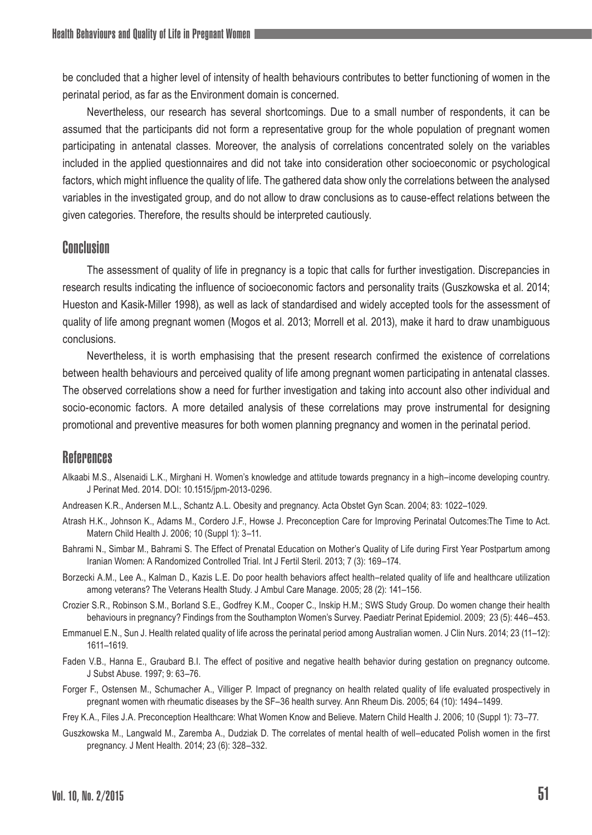be concluded that a higher level of intensity of health behaviours contributes to better functioning of women in the perinatal period, as far as the Environment domain is concerned.

Nevertheless, our research has several shortcomings. Due to a small number of respondents, it can be assumed that the participants did not form a representative group for the whole population of pregnant women participating in antenatal classes. Moreover, the analysis of correlations concentrated solely on the variables included in the applied questionnaires and did not take into consideration other socioeconomic or psychological factors, which might influence the quality of life. The gathered data show only the correlations between the analysed variables in the investigated group, and do not allow to draw conclusions as to cause-effect relations between the given categories. Therefore, the results should be interpreted cautiously.

### Conclusion

The assessment of quality of life in pregnancy is a topic that calls for further investigation. Discrepancies in research results indicating the influence of socioeconomic factors and personality traits (Guszkowska et al. 2014; Hueston and Kasik-Miller 1998), as well as lack of standardised and widely accepted tools for the assessment of quality of life among pregnant women (Mogos et al. 2013; Morrell et al. 2013), make it hard to draw unambiguous conclusions.

Nevertheless, it is worth emphasising that the present research confirmed the existence of correlations between health behaviours and perceived quality of life among pregnant women participating in antenatal classes. The observed correlations show a need for further investigation and taking into account also other individual and socio-economic factors. A more detailed analysis of these correlations may prove instrumental for designing promotional and preventive measures for both women planning pregnancy and women in the perinatal period.

### References

- Alkaabi M.S., Alsenaidi L.K., Mirghani H. Women's knowledge and attitude towards pregnancy in a high–income developing country. J Perinat Med. 2014. DOI: 10.1515/jpm-2013-0296.
- Andreasen K.R., Andersen M.L., Schantz A.L. Obesity and pregnancy. Acta Obstet Gyn Scan. 2004; 83: 1022–1029.
- Atrash H.K., Johnson K., Adams M., Cordero J.F., Howse J. Preconception Care for Improving Perinatal Outcomes:The Time to Act. Matern Child Health J. 2006; 10 (Suppl 1): 3–11.
- Bahrami N., Simbar M., Bahrami S. The Effect of Prenatal Education on Mother's Quality of Life during First Year Postpartum among Iranian Women: A Randomized Controlled Trial. Int J Fertil Steril. 2013; 7 (3): 169–174.
- Borzecki A.M., Lee A., Kalman D., Kazis L.E. Do poor health behaviors affect health–related quality of life and healthcare utilization among veterans? The Veterans Health Study. J Ambul Care Manage. 2005; 28 (2): 141–156.
- Crozier S.R., Robinson S.M., Borland S.E., Godfrey K.M., Cooper C., Inskip H.M.; SWS Study Group. Do women change their health behaviours in pregnancy? Findings from the Southampton Women's Survey. Paediatr Perinat Epidemiol. 2009; 23 (5): 446–453.
- Emmanuel E.N., Sun J. Health related quality of life across the perinatal period among Australian women. J Clin Nurs. 2014; 23 (11–12): 1611–1619.
- Faden V.B., Hanna E., Graubard B.I. The effect of positive and negative health behavior during gestation on pregnancy outcome. J Subst Abuse. 1997; 9: 63–76.
- Forger F., Ostensen M., Schumacher A., Villiger P. Impact of pregnancy on health related quality of life evaluated prospectively in pregnant women with rheumatic diseases by the SF–36 health survey. Ann Rheum Dis. 2005; 64 (10): 1494–1499.
- Frey K.A., Files J.A. Preconception Healthcare: What Women Know and Believe. Matern Child Health J. 2006; 10 (Suppl 1): 73–77.
- Guszkowska M., Langwald M., Zaremba A., Dudziak D. The correlates of mental health of well–educated Polish women in the first pregnancy. J Ment Health. 2014; 23 (6): 328–332.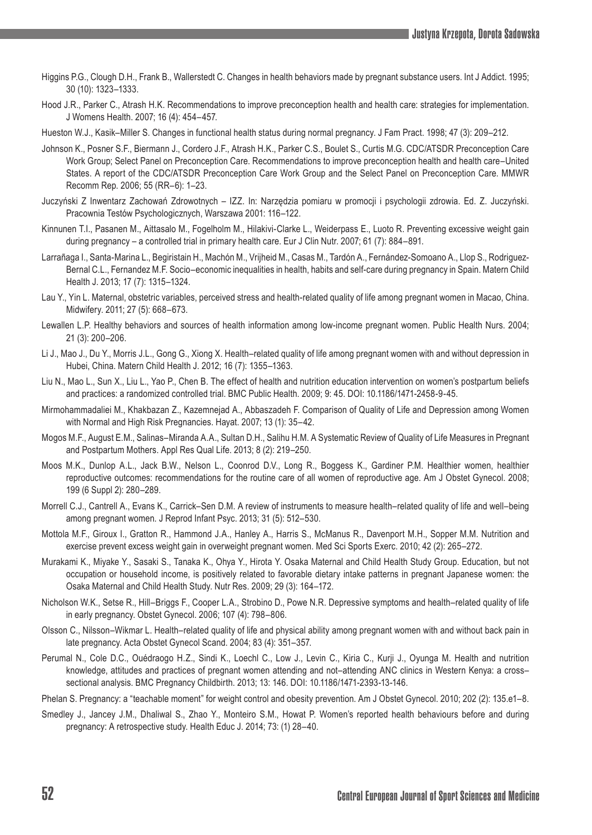- Higgins P.G., Clough D.H., Frank B., Wallerstedt C. Changes in health behaviors made by pregnant substance users. Int J Addict. 1995; 30 (10): 1323–1333.
- Hood J.R., Parker C., Atrash H.K. Recommendations to improve preconception health and health care: strategies for implementation. J Womens Health. 2007; 16 (4): 454–457.

Hueston W.J., Kasik–Miller S. Changes in functional health status during normal pregnancy. J Fam Pract. 1998; 47 (3): 209–212.

- Johnson K., Posner S.F., Biermann J., Cordero J.F., Atrash H.K., Parker C.S., Boulet S., Curtis M.G. CDC/ATSDR Preconception Care Work Group; Select Panel on Preconception Care. Recommendations to improve preconception health and health care–United States. A report of the CDC/ATSDR Preconception Care Work Group and the Select Panel on Preconception Care. MMWR Recomm Rep. 2006; 55 (RR–6): 1–23.
- Juczyński Z Inwentarz Zachowań Zdrowotnych IZZ. In: Narzędzia pomiaru w promocji i psychologii zdrowia. Ed. Z. Juczyński. Pracownia Testów Psychologicznych, Warszawa 2001: 116–122.
- Kinnunen T.I., Pasanen M., Aittasalo M., Fogelholm M., Hilakivi-Clarke L., Weiderpass E., Luoto R. Preventing excessive weight gain during pregnancy – a controlled trial in primary health care. Eur J Clin Nutr. 2007; 61 (7): 884–891.
- Larrañaga I., Santa-Marina L., Begiristain H., Machón M., Vrijheid M., Casas M., Tardón A., Fernández-Somoano A., Llop S., Rodriguez-Bernal C.L., Fernandez M.F. Socio–economic inequalities in health, habits and self-care during pregnancy in Spain. Matern Child Health J. 2013; 17 (7): 1315–1324.
- Lau Y., Yin L. Maternal, obstetric variables, perceived stress and health-related quality of life among pregnant women in Macao, China. Midwifery. 2011; 27 (5): 668–673.
- Lewallen L.P. Healthy behaviors and sources of health information among low-income pregnant women. Public Health Nurs. 2004; 21 (3): 200–206.
- Li J., Mao J., Du Y., Morris J.L., Gong G., Xiong X. Health–related quality of life among pregnant women with and without depression in Hubei, China. Matern Child Health J. 2012; 16 (7): 1355–1363.
- Liu N., Mao L., Sun X., Liu L., Yao P., Chen B. The effect of health and nutrition education intervention on women's postpartum beliefs and practices: a randomized controlled trial. BMC Public Health. 2009; 9: 45. DOI: 10.1186/1471-2458-9-45.
- Mirmohammadaliei M., Khakbazan Z., Kazemnejad A., Abbaszadeh F. Comparison of Quality of Life and Depression among Women with Normal and High Risk Pregnancies. Hayat. 2007; 13 (1): 35–42.
- Mogos M.F., August E.M., Salinas–Miranda A.A., Sultan D.H., Salihu H.M. A Systematic Review of Quality of Life Measures in Pregnant and Postpartum Mothers. Appl Res Qual Life. 2013; 8 (2): 219–250.
- Moos M.K., Dunlop A.L., Jack B.W., Nelson L., Coonrod D.V., Long R., Boggess K., Gardiner P.M. Healthier women, healthier reproductive outcomes: recommendations for the routine care of all women of reproductive age. Am J Obstet Gynecol. 2008; 199 (6 Suppl 2): 280–289.
- Morrell C.J., Cantrell A., Evans K., Carrick–Sen D.M. A review of instruments to measure health–related quality of life and well–being among pregnant women. J Reprod Infant Psyc. 2013; 31 (5): 512–530.
- Mottola M.F., Giroux I., Gratton R., Hammond J.A., Hanley A., Harris S., McManus R., Davenport M.H., Sopper M.M. Nutrition and exercise prevent excess weight gain in overweight pregnant women. Med Sci Sports Exerc. 2010; 42 (2): 265–272.
- Murakami K., Miyake Y., Sasaki S., Tanaka K., Ohya Y., Hirota Y. Osaka Maternal and Child Health Study Group. Education, but not occupation or household income, is positively related to favorable dietary intake patterns in pregnant Japanese women: the Osaka Maternal and Child Health Study. Nutr Res. 2009; 29 (3): 164–172.
- Nicholson W.K., Setse R., Hill–Briggs F., Cooper L.A., Strobino D., Powe N.R. Depressive symptoms and health–related quality of life in early pregnancy. Obstet Gynecol. 2006; 107 (4): 798–806.
- Olsson C., Nilsson–Wikmar L. Health–related quality of life and physical ability among pregnant women with and without back pain in late pregnancy. Acta Obstet Gynecol Scand. 2004; 83 (4): 351–357.
- Perumal N., Cole D.C., Ouédraogo H.Z., Sindi K., Loechl C., Low J., Levin C., Kiria C., Kurji J., Oyunga M. Health and nutrition knowledge, attitudes and practices of pregnant women attending and not–attending ANC clinics in Western Kenya: a cross– sectional analysis. BMC Pregnancy Childbirth. 2013; 13: 146. DOI: 10.1186/1471-2393-13-146.
- Phelan S. Pregnancy: a "teachable moment" for weight control and obesity prevention. Am J Obstet Gynecol. 2010; 202 (2): 135.e1–8.
- Smedley J., Jancey J.M., Dhaliwal S., Zhao Y., Monteiro S.M., Howat P. Women's reported health behaviours before and during pregnancy: A retrospective study. Health Educ J. 2014; 73: (1) 28–40.